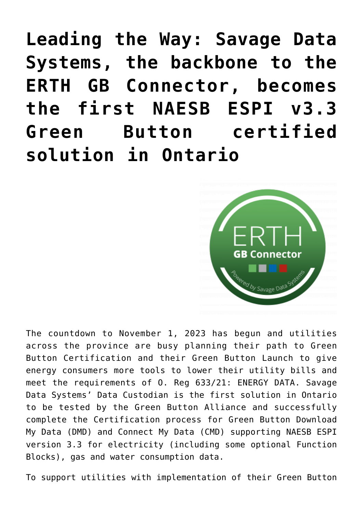**[Leading the Way: Savage Data](https://www.erthcorp.com/2022/02/25/savage-data-systems-first-green-button-v3-3-certified/) [Systems, the backbone to the](https://www.erthcorp.com/2022/02/25/savage-data-systems-first-green-button-v3-3-certified/) [ERTH GB Connector, becomes](https://www.erthcorp.com/2022/02/25/savage-data-systems-first-green-button-v3-3-certified/) [the first NAESB ESPI v3.3](https://www.erthcorp.com/2022/02/25/savage-data-systems-first-green-button-v3-3-certified/) [Green Button certified](https://www.erthcorp.com/2022/02/25/savage-data-systems-first-green-button-v3-3-certified/) [solution in Ontario](https://www.erthcorp.com/2022/02/25/savage-data-systems-first-green-button-v3-3-certified/)**



The countdown to November 1, 2023 has begun and utilities across the province are busy planning their path to Green Button Certification and their Green Button Launch to give energy consumers more tools to lower their utility bills and meet the requirements of O. Reg 633/21: ENERGY DATA. Savage Data Systems' Data Custodian is the first solution in Ontario to be tested by the Green Button Alliance and successfully complete the Certification process for Green Button Download My Data (DMD) and Connect My Data (CMD) supporting NAESB ESPI version 3.3 for electricity (including some optional Function Blocks), gas and water consumption data.

To support utilities with implementation of their Green Button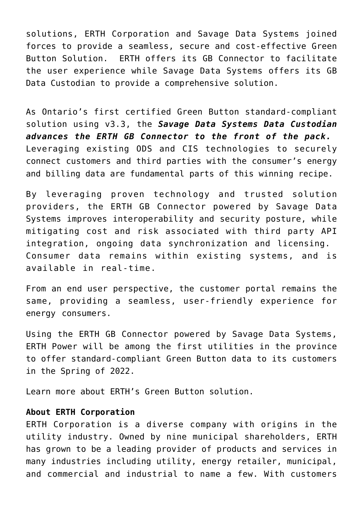solutions, ERTH Corporation and Savage Data Systems joined forces to provide a seamless, secure and cost-effective Green Button Solution. ERTH offers its GB Connector to facilitate the user experience while Savage Data Systems offers its GB Data Custodian to provide a comprehensive solution.

As Ontario's first certified Green Button standard-compliant solution using v3.3, the *Savage Data Systems Data Custodian advances the ERTH GB Connector to the front of the pack.*  Leveraging existing ODS and CIS technologies to securely connect customers and third parties with the consumer's energy and billing data are fundamental parts of this winning recipe.

By leveraging proven technology and trusted solution providers, the ERTH GB Connector powered by Savage Data Systems improves interoperability and security posture, while mitigating cost and risk associated with third party API integration, ongoing data synchronization and licensing. Consumer data remains within existing systems, and is available in real-time.

From an end user perspective, the customer portal remains the same, providing a seamless, user-friendly experience for energy consumers.

Using the ERTH GB Connector powered by Savage Data Systems, ERTH Power will be among the first utilities in the province to offer standard-compliant Green Button data to its customers in the Spring of 2022.

Learn more about [ERTH's Green Button solution](https://www.erthcorp.com/greenbutton/).

## **About ERTH Corporation**

ERTH Corporation is a diverse company with origins in the utility industry. Owned by nine municipal shareholders, ERTH has grown to be a leading provider of products and services in many industries including utility, energy retailer, municipal, and commercial and industrial to name a few. With customers